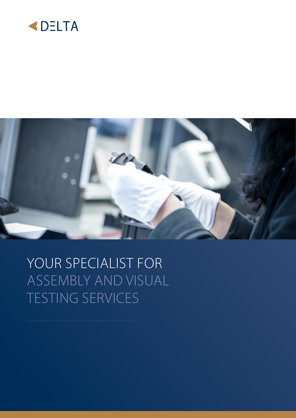



### YOUR SPECIALIST FOR ASSEMBLY AND VISUAL TESTING SERVICES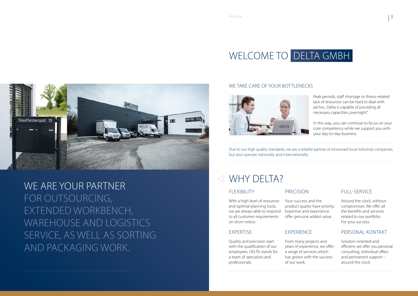Peak periods, staff shortage or illness-related lack of resources can be hard to deal with ad hoc. Delta is capable of providing all necessary capacities "overnight".

#### WE TAKE CARE OF YOUR BOTTLENECKS



In this way, you can continue to focus on your core competency while we support you with your day-to-day business.

Due to our high quality standards, we are a reliable partner of renowned local industrial companies, but also operate nationally and internationally.

#### WHY DELTA?



WE ARE YOUR PARTNER FOR OUTSOURCING, EXTENDED WORKBENCH, WAREHOUSE AND LOGISTICS SERVICE, AS WELL AS SORTING AND PACKAGING WORK.

#### FLEXIBILITY

With a high level of resources and optimal planning tools, we are always able to respond to all customer requirements on short notice.

#### EXPERTISE

Quality and precision start with the qualification of our employees. DELTA stands for a team of specialists and professionals.

#### PRECISION

Your success and the product quality have priority. Expertise and experience offer genuine added value.

#### EXPERIENCE

From many projects and years of experience, we offer a range of services which has grown with the success of our work.



#### FULL-SERVICE

Around the clock, without compromises. We offer all the benefits and services related to our portfolio. For your success.

#### PERSONAL KONTAKT

Solution-oriented and efficient, we offer you personal consulting, individual offers and permanent support – around the clock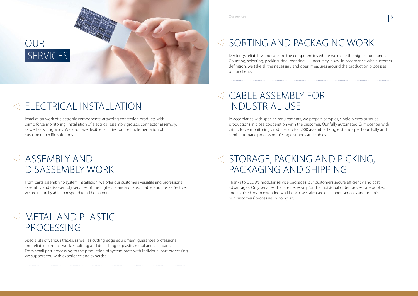Installation work of electronic components: attaching confection products with crimp force monitoring, installation of electrical assembly groups, connector assembly, as well as wiring work. We also have flexible facilities for the implementation of customer-specific solutions.

#### $\triangleleft$  ASSEMBLY AND DISASSEMBLY WORK

From parts assembly to system installation, we offer our customers versatile and professional assembly and disassembly services of the highest standard. Predictable and cost-effective, we are naturally able to respond to ad hoc orders.

#### METAL AND PLASTIC PROCESSING

Specialists of various trades, as well as cutting edge equipment, guarantee professional and reliable contract work. Finalising and deflashing of plastic, metal and cast parts. From small part processing to the production of system parts with individual part processing, we support you with experience and expertise.

Our services  $\begin{array}{|c|c|c|c|c|}\hline \text{O} & \text{S} & \text{S} & \text{S} & \text{S} & \text{S} & \text{S} & \text{S} & \text{S} & \text{S} & \text{S} & \text{S} & \text{S} & \text{S} & \text{S} & \text{S} & \text{S} & \text{S} & \text{S} & \text{S} & \text{S} & \text{S} & \text{S} & \text{S} & \text{S} & \text{S} & \text{S} & \text{S} & \text{S} & \text{S} & \text{S} & \text$ 

### $\triangleleft$  STORAGE, PACKING AND PICKING, PACKAGING AND SHIPPING



### **ELECTRICAL INSTALLATION**

### SORTING AND PACKAGING WORK

Dexterity, reliability and care are the competencies where we make the highest demands. Counting, selecting, packing, documenting… – accuracy is key. In accordance with customer definition, we take all the necessary and open measures around the production processes of our clients.

### CABLE ASSEMBLY FOR INDUSTRIAL USE

In accordance with specific requirements, we prepare samples, single pieces or series productions in close cooperation with the customer. Our fully automated Crimpcenter with crimp force monitoring produces up to 4,000 assembled single strands per hour. Fully and semi-automatic processing of single strands and cables.

Thanks to DELTA's modular service packages, our customers secure efficiency and cost advantages. Only services that are necessary for the individual order process are booked and invoiced. As an extended workbench, we take care of all open services and optimise our customers' processes in doing so.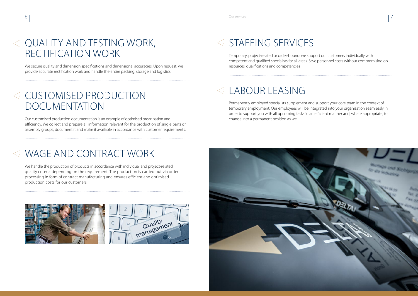## STAFFING SERVICES

Temporary, project-related or order-bound: we support our customers individually with competent and qualified specialists for all areas. Save personnel costs without compromising on resources, qualifications and competencies

### LABOUR LEASING

### $\leq$  QUALITY AND TESTING WORK, RECTIFICATION WORK

Permanently employed specialists supplement and support your core team in the context of temporary employment. Our employees will be integrated into your organisation seamlessly in order to support you with all upcoming tasks in an efficient manner and, where appropriate, to change into a permanent position as well.



We secure quality and dimension specifications and dimensional accuracies. Upon request, we provide accurate rectification work and handle the entire packing, storage and logistics.

#### CUSTOMISED PRODUCTION DOCUMENTATION

Our customised production documentation is an example of optimised organisation and efficiency. We collect and prepare all information relevant for the production of single parts or assembly groups, document it and make it available in accordance with customer requirements.

### WAGE AND CONTRACT WORK

We handle the production of products in accordance with individual and project-related quality criteria depending on the requirement. The production is carried out via order processing in form of contract manufacturing and ensures efficient and optimised production costs for our customers.



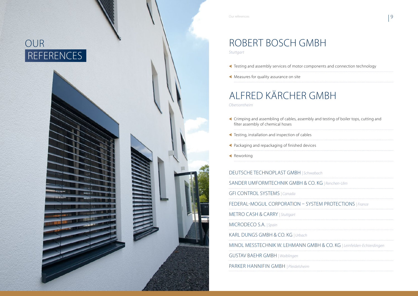Our references

#### ROBERT BOSCH GMBH *Stuttgart*

Testing and assembly services of motor components and connection technology

Measures for quality assurance on site

# ALFRED KÄRCHER GMBH

*Obersontheim*

- $\blacktriangle$  Crimping and assembling of cables, assembly and filter assembly of chemical hoses
- Testing, installation and inspection of cables
- Packaging and repackaging of finished devices

**Reworking** 

DEUTSCHE TECHNOPLAST GMBH *| Schwabach* SANDER UMFORMTECHNIK GMBH & CO. GFI CONTROL SYSTEMS *| Canada* FEDERAL-MOGUL CORPORATION - SYST METRO CASH & CARRY *| Stuttgart* MICRODECO S.A. *| Spain* KARL DUNGS GMBH & CO. KG *| Urbach* MINOL MESSTECHNIK W. LEHMANN GME GUSTAV BAEHR GMBH *| Waiblingen* PARKER HANNIFIN GMBH *| Pleidelsheim*

| and testing of boiler tops, cutting and          |  |
|--------------------------------------------------|--|
|                                                  |  |
|                                                  |  |
|                                                  |  |
| ach                                              |  |
| KG   Renchen-Ulm                                 |  |
|                                                  |  |
| <b>EM PROTECTIONS   France</b>                   |  |
|                                                  |  |
|                                                  |  |
|                                                  |  |
| <b>SH &amp; CO. KG</b>   Leinfelden-Echterdingen |  |
|                                                  |  |
|                                                  |  |

## OUR REFERENCES

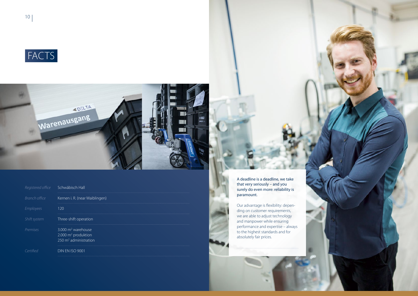| Registered office       | Schwäbisch Hall                                                                                     |
|-------------------------|-----------------------------------------------------------------------------------------------------|
| Branch office           | Kernen i. R. (near Waiblingen)                                                                      |
| <i><b>Employees</b></i> | 120                                                                                                 |
| Shift system            | Three-shift operation                                                                               |
| Premises                | $3.000 \text{ m}^2$ warehouse<br>$2.000 \text{ m}^2$ produktion<br>$250 \text{ m}^2$ administration |
| Certified               | <b>DIN EN ISO 9001</b>                                                                              |





A deadline is a deadline, we take that very seriously – and you surely do even more: reliability is paramount.

Our advantage is flexibility: depending on customer requirements, we are able to adjust technology and manpower while ensuring performance and expertise – always to the highest standards and for absolutely fair prices.